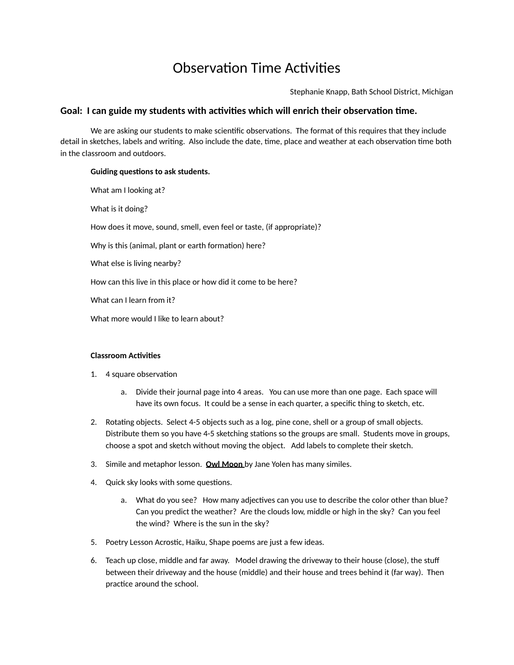## Observation Time Activities

Stephanie Knapp, Bath School District, Michigan

## Goal: I can guide my students with activities which will enrich their observation time.

We are asking our students to make scientific observations. The format of this requires that they include detail in sketches, labels and writing. Also include the date, time, place and weather at each observation time both in the classroom and outdoors.

## **Guiding questions to ask students.**

What am I looking at? What is it doing? How does it move, sound, smell, even feel or taste, (if appropriate)? Why is this (animal, plant or earth formation) here? What else is living nearby? How can this live in this place or how did it come to be here? What can I learn from it? What more would I like to learn about?

## **Classroom Activities**

- 1. 4 square observation
	- a. Divide their journal page into 4 areas. You can use more than one page. Each space will have its own focus. It could be a sense in each quarter, a specific thing to sketch, etc.
- 2. Rotating objects. Select 4-5 objects such as a log, pine cone, shell or a group of small objects. Distribute them so you have 4-5 sketching stations so the groups are small. Students move in groups, choose a spot and sketch without moving the object. Add labels to complete their sketch.
- 3. Simile and metaphor lesson. **Owl Moon** by Jane Yolen has many similes.
- 4. Quick sky looks with some questions.
	- a. What do you see? How many adjectives can you use to describe the color other than blue? Can you predict the weather? Are the clouds low, middle or high in the sky? Can you feel the wind? Where is the sun in the sky?
- 5. Poetry Lesson Acrostic, Haiku, Shape poems are just a few ideas.
- 6. Teach up close, middle and far away. Model drawing the driveway to their house (close), the stuff between their driveway and the house (middle) and their house and trees behind it (far way). Then practice around the school.